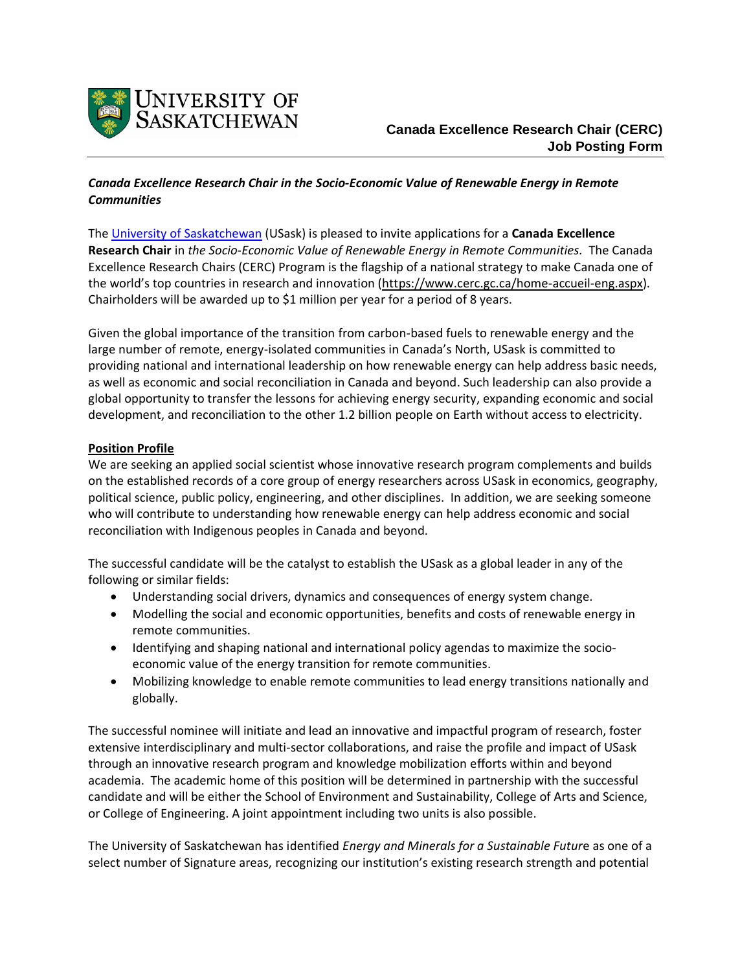

# *Canada Excellence Research Chair in the Socio-Economic Value of Renewable Energy in Remote Communities*

The [University of Saskatchewan](https://www.usask.ca/) (USask) is pleased to invite applications for a **Canada Excellence Research Chair** in *the Socio-Economic Value of Renewable Energy in Remote Communities.* The Canada Excellence Research Chairs (CERC) Program is the flagship of a national strategy to make Canada one of the world's top countries in research and innovation ([https://www.cerc.gc.ca/home-accueil-eng.aspx\)](https://www.cerc.gc.ca/home-accueil-eng.aspx). Chairholders will be awarded up to \$1 million per year for a period of 8 years.

Given the global importance of the transition from carbon-based fuels to renewable energy and the large number of remote, energy-isolated communities in Canada's North, USask is committed to providing national and international leadership on how renewable energy can help address basic needs, as well as economic and social reconciliation in Canada and beyond. Such leadership can also provide a global opportunity to transfer the lessons for achieving energy security, expanding economic and social development, and reconciliation to the other 1.2 billion people on Earth without access to electricity.

# **Position Profile**

We are seeking an applied social scientist whose innovative research program complements and builds on the established records of a core group of energy researchers across USask in economics, geography, political science, public policy, engineering, and other disciplines. In addition, we are seeking someone who will contribute to understanding how renewable energy can help address economic and social reconciliation with Indigenous peoples in Canada and beyond.

The successful candidate will be the catalyst to establish the USask as a global leader in any of the following or similar fields:

- Understanding social drivers, dynamics and consequences of energy system change.
- Modelling the social and economic opportunities, benefits and costs of renewable energy in remote communities.
- Identifying and shaping national and international policy agendas to maximize the socioeconomic value of the energy transition for remote communities.
- Mobilizing knowledge to enable remote communities to lead energy transitions nationally and globally.

The successful nominee will initiate and lead an innovative and impactful program of research, foster extensive interdisciplinary and multi-sector collaborations, and raise the profile and impact of USask through an innovative research program and knowledge mobilization efforts within and beyond academia. The academic home of this position will be determined in partnership with the successful candidate and will be either the School of Environment and Sustainability, College of Arts and Science, or College of Engineering. A joint appointment including two units is also possible.

The University of Saskatchewan has identified *Energy and Minerals for a Sustainable Futur*e as one of a select number of Signature areas, recognizing our institution's existing research strength and potential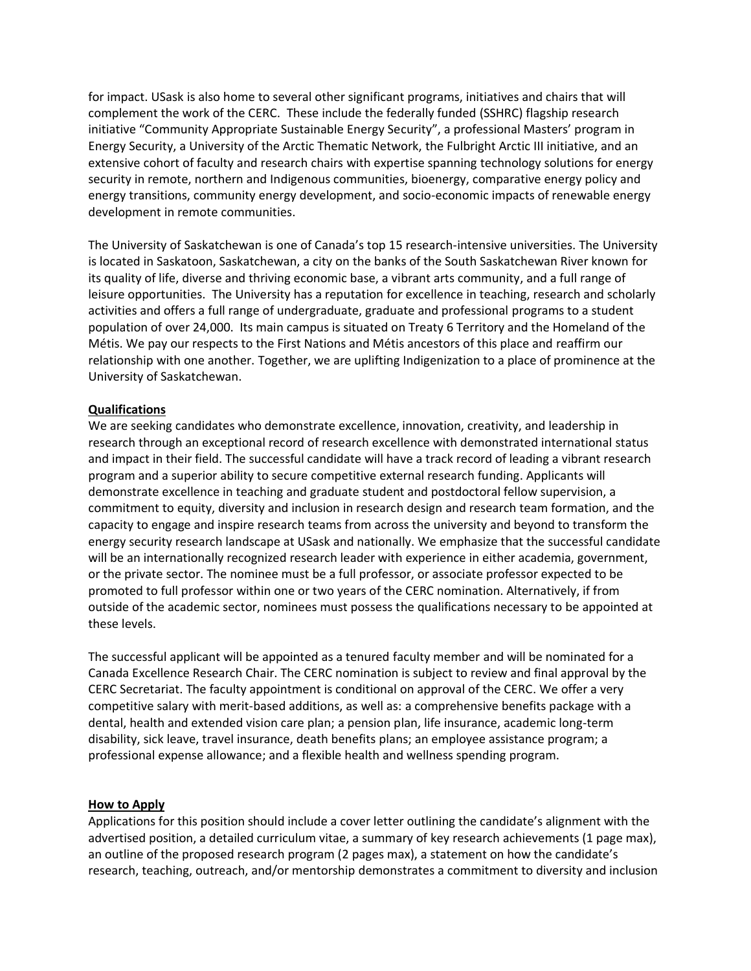for impact. USask is also home to several other significant programs, initiatives and chairs that will complement the work of the CERC. These include the federally funded (SSHRC) flagship research initiative "Community Appropriate Sustainable Energy Security", a professional Masters' program in Energy Security, a University of the Arctic Thematic Network, the Fulbright Arctic III initiative, and an extensive cohort of faculty and research chairs with expertise spanning technology solutions for energy security in remote, northern and Indigenous communities, bioenergy, comparative energy policy and energy transitions, community energy development, and socio-economic impacts of renewable energy development in remote communities.

The [University of Saskatchewan](https://www.usask.ca/) is one of Canada's top 15 research-intensive universities. The University is located in Saskatoon, Saskatchewan, a city on the banks of the South Saskatchewan River known for its quality of life, diverse and thriving economic base, a vibrant arts community, and a full range of leisure opportunities. The University has a reputation for excellence in teaching, research and scholarly activities and offers a full range of undergraduate, graduate and professional programs to a student population of over 24,000. Its main campus is situated on Treaty 6 Territory and the Homeland of the Métis. We pay our respects to the First Nations and Métis ancestors of this place and reaffirm our relationship with one another. Together, we are uplifting Indigenization to a place of prominence at the University of Saskatchewan.

### **Qualifications**

We are seeking candidates who demonstrate excellence, innovation, creativity, and leadership in research through an exceptional record of research excellence with demonstrated international status and impact in their field. The successful candidate will have a track record of leading a vibrant research program and a superior ability to secure competitive external research funding. Applicants will demonstrate excellence in teaching and graduate student and postdoctoral fellow supervision, a commitment to equity, diversity and inclusion in research design and research team formation, and the capacity to engage and inspire research teams from across the university and beyond to transform the energy security research landscape at USask and nationally. We emphasize that the successful candidate will be an internationally recognized research leader with experience in either academia, government, or the private sector. The nominee must be a full professor, or associate professor expected to be promoted to full professor within one or two years of the CERC nomination. Alternatively, if from outside of the academic sector, nominees must possess the qualifications necessary to be appointed at these levels.

The successful applicant will be appointed as a tenured faculty member and will be nominated for a Canada Excellence Research Chair. The CERC nomination is subject to review and final approval by the CERC Secretariat. The faculty appointment is conditional on approval of the CERC. We offer a very competitive salary with merit-based additions, as well as: a comprehensive benefits package with a dental, health and extended vision care plan; a pension plan, life insurance, academic long-term disability, sick leave, travel insurance, death benefits plans; an employee assistance program; a professional expense allowance; and a flexible health and wellness spending program.

#### **How to Apply**

Applications for this position should include a cover letter outlining the candidate's alignment with the advertised position, a detailed curriculum vitae, a summary of key research achievements (1 page max), an outline of the proposed research program (2 pages max), a statement on how the candidate's research, teaching, outreach, and/or mentorship demonstrates a commitment to diversity and inclusion